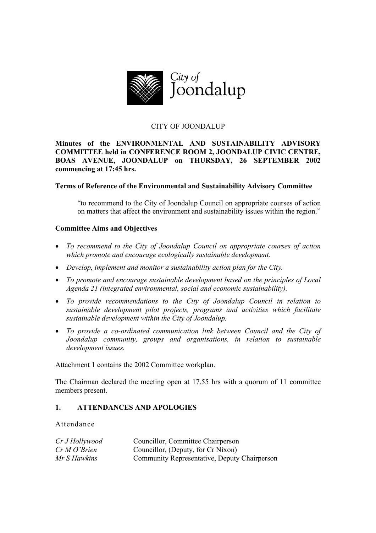

## CITY OF JOONDALUP

## **Minutes of the ENVIRONMENTAL AND SUSTAINABILITY ADVISORY COMMITTEE held in CONFERENCE ROOM 2, JOONDALUP CIVIC CENTRE, BOAS AVENUE, JOONDALUP on THURSDAY, 26 SEPTEMBER 2002 commencing at 17:45 hrs.**

## **Terms of Reference of the Environmental and Sustainability Advisory Committee**

"to recommend to the City of Joondalup Council on appropriate courses of action on matters that affect the environment and sustainability issues within the region."

## **Committee Aims and Objectives**

- *To recommend to the City of Joondalup Council on appropriate courses of action which promote and encourage ecologically sustainable development.*
- *Develop, implement and monitor a sustainability action plan for the City.*
- *To promote and encourage sustainable development based on the principles of Local Agenda 21 (integrated environmental, social and economic sustainability).*
- *To provide recommendations to the City of Joondalup Council in relation to sustainable development pilot projects, programs and activities which facilitate sustainable development within the City of Joondalup.*
- *To provide a co-ordinated communication link between Council and the City of Joondalup community, groups and organisations, in relation to sustainable development issues.*

Attachment 1 contains the 2002 Committee workplan.

The Chairman declared the meeting open at 17.55 hrs with a quorum of 11 committee members present.

## **1. ATTENDANCES AND APOLOGIES**

### Attendance

| Cr J Hollywood    | Councillor, Committee Chairperson            |
|-------------------|----------------------------------------------|
| $Cr\,M\,O$ 'Brien | Councillor, (Deputy, for Cr Nixon)           |
| Mr S Hawkins      | Community Representative, Deputy Chairperson |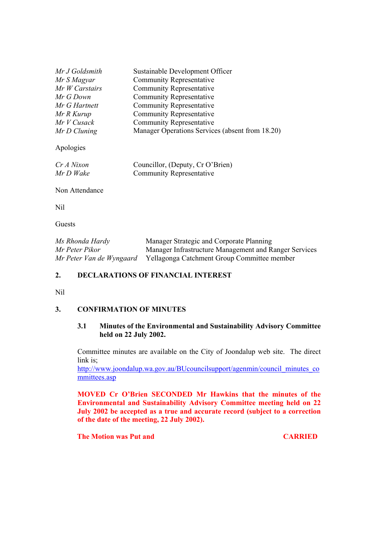| Mr J Goldsmith | Sustainable Development Officer                 |
|----------------|-------------------------------------------------|
| Mr S Magyar    | <b>Community Representative</b>                 |
| Mr W Carstairs | <b>Community Representative</b>                 |
| Mr G Down      | <b>Community Representative</b>                 |
| Mr G Hartnett  | <b>Community Representative</b>                 |
| Mr R Kurup     | <b>Community Representative</b>                 |
| $MrV$ Cusack   | <b>Community Representative</b>                 |
| Mr D Cluning   | Manager Operations Services (absent from 18.20) |
| Apologies      |                                                 |
| Cr A Nixon     | Councillor, (Deputy, Cr O'Brien)                |
| Mr D Wake      | <b>Community Representative</b>                 |

Non Attendance

Nil

Guests

| Ms Rhonda Hardy          | Manager Strategic and Corporate Planning              |
|--------------------------|-------------------------------------------------------|
| Mr Peter Pikor           | Manager Infrastructure Management and Ranger Services |
| Mr Peter Van de Wyngaard | Yellagonga Catchment Group Committee member           |

# **2. DECLARATIONS OF FINANCIAL INTEREST**

### Nil

## **3. CONFIRMATION OF MINUTES**

## **3.1 Minutes of the Environmental and Sustainability Advisory Committee held on 22 July 2002.**

Committee minutes are available on the City of Joondalup web site. The direct link is;

http://www.joondalup.wa.gov.au/BUcouncilsupport/agenmin/council\_minutes\_co mmittees.asp

**MOVED Cr O'Brien SECONDED Mr Hawkins that the minutes of the Environmental and Sustainability Advisory Committee meeting held on 22 July 2002 be accepted as a true and accurate record (subject to a correction of the date of the meeting, 22 July 2002).** 

**The Motion was Put and CARRIED**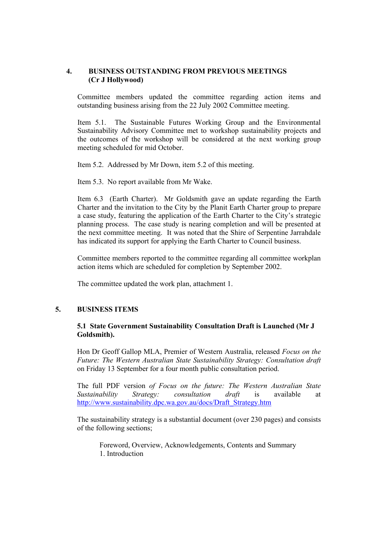## **4. BUSINESS OUTSTANDING FROM PREVIOUS MEETINGS (Cr J Hollywood)**

Committee members updated the committee regarding action items and outstanding business arising from the 22 July 2002 Committee meeting.

Item 5.1. The Sustainable Futures Working Group and the Environmental Sustainability Advisory Committee met to workshop sustainability projects and the outcomes of the workshop will be considered at the next working group meeting scheduled for mid October.

Item 5.2. Addressed by Mr Down, item 5.2 of this meeting.

Item 5.3. No report available from Mr Wake.

Item 6.3 (Earth Charter). Mr Goldsmith gave an update regarding the Earth Charter and the invitation to the City by the Planit Earth Charter group to prepare a case study, featuring the application of the Earth Charter to the City's strategic planning process. The case study is nearing completion and will be presented at the next committee meeting. It was noted that the Shire of Serpentine Jarrahdale has indicated its support for applying the Earth Charter to Council business.

Committee members reported to the committee regarding all committee workplan action items which are scheduled for completion by September 2002.

The committee updated the work plan, attachment 1.

## **5. BUSINESS ITEMS**

## **5.1 State Government Sustainability Consultation Draft is Launched (Mr J Goldsmith).**

Hon Dr Geoff Gallop MLA, Premier of Western Australia, released *Focus on the Future: The Western Australian State Sustainability Strategy: Consultation draft*  on Friday 13 September for a four month public consultation period.

The full PDF version *of Focus on the future: The Western Australian State Sustainability Strategy: consultation draft* is available at http://www.sustainability.dpc.wa.gov.au/docs/Draft\_Strategy.htm

The sustainability strategy is a substantial document (over 230 pages) and consists of the following sections;

Foreword, Overview, Acknowledgements, Contents and Summary 1. Introduction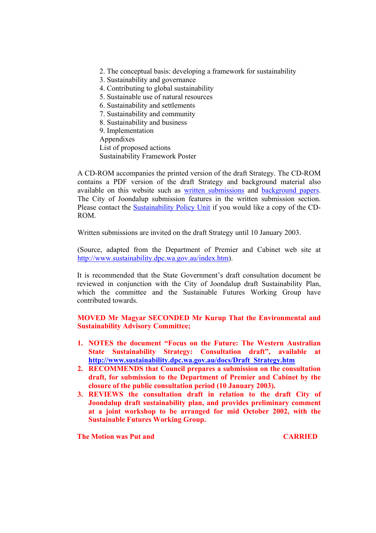2. The conceptual basis: developing a framework for sustainability

- 3. Sustainability and governance
- 4. Contributing to global sustainability
- 5. Sustainable use of natural resources
- 6. Sustainability and settlements
- 7. Sustainability and community
- 8. Sustainability and business
- 9. Implementation
- Appendixes
- List of proposed actions
- Sustainability Framework Poster

A CD-ROM accompanies the printed version of the draft Strategy. The CD-ROM contains a PDF version of the draft Strategy and background material also available on this website such as written submissions and background papers. The City of Joondalup submission features in the written submission section. Please contact the Sustainability Policy Unit if you would like a copy of the CD-ROM.

Written submissions are invited on the draft Strategy until 10 January 2003.

(Source, adapted from the Department of Premier and Cabinet web site at http://www.sustainability.dpc.wa.gov.au/index.htm).

It is recommended that the State Government's draft consultation document be reviewed in conjunction with the City of Joondalup draft Sustainability Plan, which the committee and the Sustainable Futures Working Group have contributed towards.

# **MOVED Mr Magyar SECONDED Mr Kurup That the Environmental and Sustainability Advisory Committee;**

- **1. NOTES the document "Focus on the Future: The Western Australian State Sustainability Strategy: Consultation draft", available at http://www.sustainability.dpc.wa.gov.au/docs/Draft\_Strategy.htm**
- **2. RECOMMENDS that Council prepares a submission on the consultation draft, for submission to the Department of Premier and Cabinet by the closure of the public consultation period (10 January 2003).**
- **3. REVIEWS the consultation draft in relation to the draft City of Joondalup draft sustainability plan, and provides preliminary comment at a joint workshop to be arranged for mid October 2002, with the Sustainable Futures Working Group.**

**The Motion was Put and CARRIED CARRIED**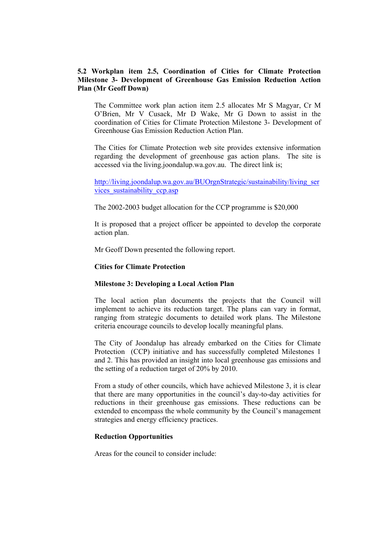## **5.2 Workplan item 2.5, Coordination of Cities for Climate Protection Milestone 3- Development of Greenhouse Gas Emission Reduction Action Plan (Mr Geoff Down)**

The Committee work plan action item 2.5 allocates Mr S Magyar, Cr M O'Brien, Mr V Cusack, Mr D Wake, Mr G Down to assist in the coordination of Cities for Climate Protection Milestone 3- Development of Greenhouse Gas Emission Reduction Action Plan.

The Cities for Climate Protection web site provides extensive information regarding the development of greenhouse gas action plans. The site is accessed via the living.joondalup.wa.gov.au. The direct link is;

http://living.joondalup.wa.gov.au/BUOrgnStrategic/sustainability/living\_ser vices\_sustainability\_ccp.asp

The 2002-2003 budget allocation for the CCP programme is \$20,000

It is proposed that a project officer be appointed to develop the corporate action plan.

Mr Geoff Down presented the following report.

#### **Cities for Climate Protection**

#### **Milestone 3: Developing a Local Action Plan**

The local action plan documents the projects that the Council will implement to achieve its reduction target. The plans can vary in format, ranging from strategic documents to detailed work plans. The Milestone criteria encourage councils to develop locally meaningful plans.

The City of Joondalup has already embarked on the Cities for Climate Protection (CCP) initiative and has successfully completed Milestones 1 and 2. This has provided an insight into local greenhouse gas emissions and the setting of a reduction target of 20% by 2010.

From a study of other councils, which have achieved Milestone 3, it is clear that there are many opportunities in the council's day-to-day activities for reductions in their greenhouse gas emissions. These reductions can be extended to encompass the whole community by the Council's management strategies and energy efficiency practices.

#### **Reduction Opportunities**

Areas for the council to consider include: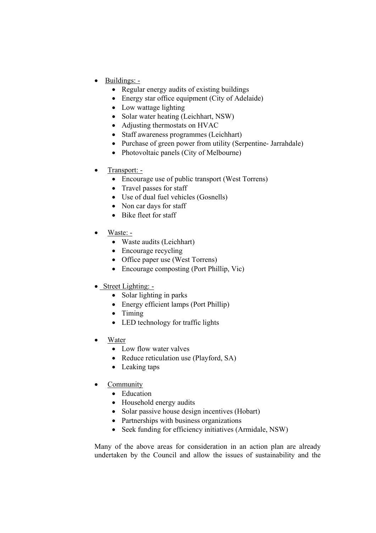- Buildings:
	- Regular energy audits of existing buildings
	- Energy star office equipment (City of Adelaide)
	- Low wattage lighting
	- Solar water heating (Leichhart, NSW)
	- Adjusting thermostats on HVAC
	- Staff awareness programmes (Leichhart)
	- Purchase of green power from utility (Serpentine- Jarrahdale)
	- Photovoltaic panels (City of Melbourne)
- Transport:
	- Encourage use of public transport (West Torrens)
	- Travel passes for staff
	- Use of dual fuel vehicles (Gosnells)
	- Non car days for staff
	- Bike fleet for staff
- Waste<sup>.</sup> -
	- Waste audits (Leichhart)
	- Encourage recycling
	- Office paper use (West Torrens)
	- Encourage composting (Port Phillip, Vic)
- Street Lighting: -
	- Solar lighting in parks
	- Energy efficient lamps (Port Phillip)
	- Timing
	- LED technology for traffic lights
- Water
	- Low flow water valves
	- Reduce reticulation use (Playford, SA)
	- Leaking taps
- **Community** 
	- Education
	- Household energy audits
	- Solar passive house design incentives (Hobart)
	- Partnerships with business organizations
	- Seek funding for efficiency initiatives (Armidale, NSW)

Many of the above areas for consideration in an action plan are already undertaken by the Council and allow the issues of sustainability and the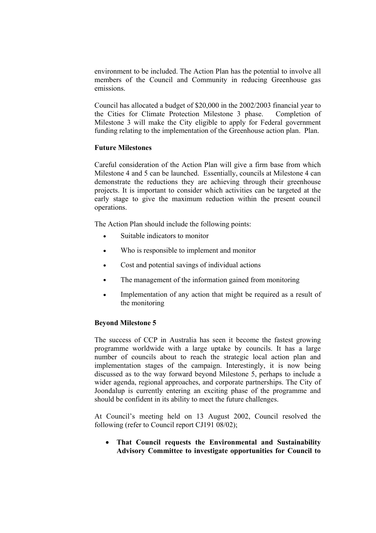environment to be included. The Action Plan has the potential to involve all members of the Council and Community in reducing Greenhouse gas emissions.

Council has allocated a budget of \$20,000 in the 2002/2003 financial year to the Cities for Climate Protection Milestone 3 phase. Completion of Milestone 3 will make the City eligible to apply for Federal government funding relating to the implementation of the Greenhouse action plan. Plan.

## **Future Milestones**

Careful consideration of the Action Plan will give a firm base from which Milestone 4 and 5 can be launched. Essentially, councils at Milestone 4 can demonstrate the reductions they are achieving through their greenhouse projects. It is important to consider which activities can be targeted at the early stage to give the maximum reduction within the present council operations.

The Action Plan should include the following points:

- Suitable indicators to monitor
- Who is responsible to implement and monitor
- Cost and potential savings of individual actions
- The management of the information gained from monitoring
- Implementation of any action that might be required as a result of the monitoring

### **Beyond Milestone 5**

The success of CCP in Australia has seen it become the fastest growing programme worldwide with a large uptake by councils. It has a large number of councils about to reach the strategic local action plan and implementation stages of the campaign. Interestingly, it is now being discussed as to the way forward beyond Milestone 5, perhaps to include a wider agenda, regional approaches, and corporate partnerships. The City of Joondalup is currently entering an exciting phase of the programme and should be confident in its ability to meet the future challenges.

At Council's meeting held on 13 August 2002, Council resolved the following (refer to Council report CJ191 08/02);

• **That Council requests the Environmental and Sustainability Advisory Committee to investigate opportunities for Council to**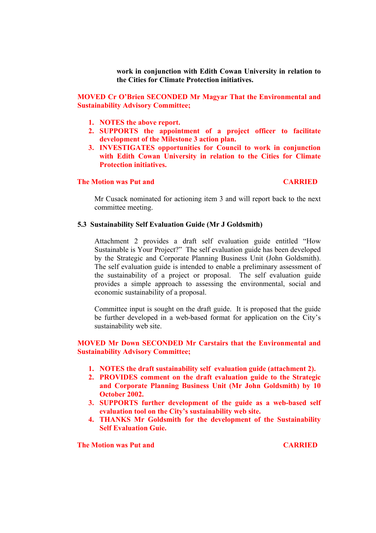**work in conjunction with Edith Cowan University in relation to the Cities for Climate Protection initiatives.** 

**MOVED Cr O'Brien SECONDED Mr Magyar That the Environmental and Sustainability Advisory Committee;** 

- **1. NOTES the above report.**
- **2. SUPPORTS the appointment of a project officer to facilitate development of the Milestone 3 action plan.**
- **3. INVESTIGATES opportunities for Council to work in conjunction with Edith Cowan University in relation to the Cities for Climate Protection initiatives.**

#### **The Motion was Put and CARRIED**

Mr Cusack nominated for actioning item 3 and will report back to the next committee meeting.

### **5.3 Sustainability Self Evaluation Guide (Mr J Goldsmith)**

Attachment 2 provides a draft self evaluation guide entitled "How Sustainable is Your Project?" The self evaluation guide has been developed by the Strategic and Corporate Planning Business Unit (John Goldsmith). The self evaluation guide is intended to enable a preliminary assessment of the sustainability of a project or proposal. The self evaluation guide provides a simple approach to assessing the environmental, social and economic sustainability of a proposal.

Committee input is sought on the draft guide. It is proposed that the guide be further developed in a web-based format for application on the City's sustainability web site.

## **MOVED Mr Down SECONDED Mr Carstairs that the Environmental and Sustainability Advisory Committee;**

- **1. NOTES the draft sustainability self evaluation guide (attachment 2).**
- **2. PROVIDES comment on the draft evaluation guide to the Strategic and Corporate Planning Business Unit (Mr John Goldsmith) by 10 October 2002.**
- **3. SUPPORTS further development of the guide as a web-based self evaluation tool on the City's sustainability web site.**
- **4. THANKS Mr Goldsmith for the development of the Sustainability Self Evaluation Guie.**

**The Motion was Put and CARRIED**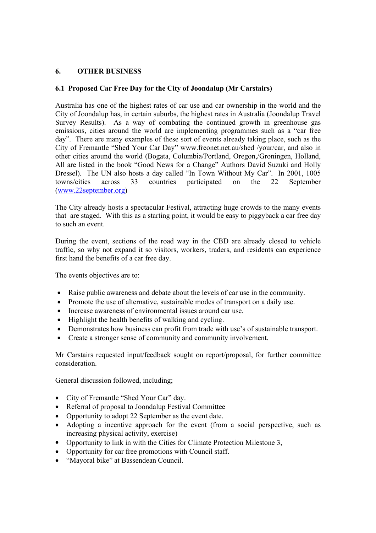# **6. OTHER BUSINESS**

# **6.1 Proposed Car Free Day for the City of Joondalup (Mr Carstairs)**

Australia has one of the highest rates of car use and car ownership in the world and the City of Joondalup has, in certain suburbs, the highest rates in Australia (Joondalup Travel Survey Results). As a way of combating the continued growth in greenhouse gas emissions, cities around the world are implementing programmes such as a "car free day". There are many examples of these sort of events already taking place, such as the City of Fremantle "Shed Your Car Day" www.freonet.net.au/shed /your/car, and also in other cities around the world (Bogata, Columbia/Portland, Oregon,/Groningen, Holland, All are listed in the book "Good News for a Change" Authors David Suzuki and Holly Dressel). The UN also hosts a day called "In Town Without My Car". In 2001, 1005 towns/cities across 33 countries participated on the 22 September (www.22september.org)

The City already hosts a spectacular Festival, attracting huge crowds to the many events that are staged. With this as a starting point, it would be easy to piggyback a car free day to such an event.

During the event, sections of the road way in the CBD are already closed to vehicle traffic, so why not expand it so visitors, workers, traders, and residents can experience first hand the benefits of a car free day.

The events objectives are to:

- Raise public awareness and debate about the levels of car use in the community.
- Promote the use of alternative, sustainable modes of transport on a daily use.
- Increase awareness of environmental issues around car use.
- Highlight the health benefits of walking and cycling.
- Demonstrates how business can profit from trade with use's of sustainable transport.
- Create a stronger sense of community and community involvement.

Mr Carstairs requested input/feedback sought on report/proposal, for further committee consideration.

General discussion followed, including;

- City of Fremantle "Shed Your Car" day.
- Referral of proposal to Joondalup Festival Committee
- Opportunity to adopt 22 September as the event date.
- Adopting a incentive approach for the event (from a social perspective, such as increasing physical activity, exercise)
- Opportunity to link in with the Cities for Climate Protection Milestone 3,
- Opportunity for car free promotions with Council staff.
- "Mayoral bike" at Bassendean Council.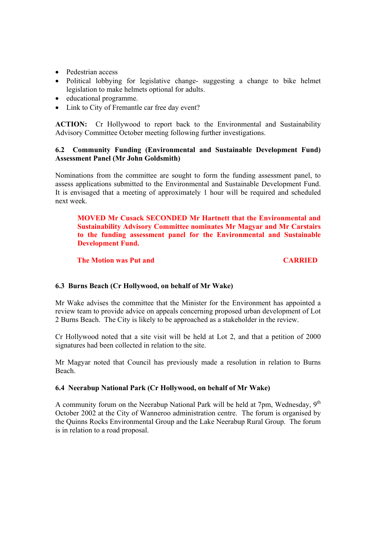- Pedestrian access
- Political lobbying for legislative change- suggesting a change to bike helmet legislation to make helmets optional for adults.
- educational programme.
- Link to City of Fremantle car free day event?

**ACTION:** Cr Hollywood to report back to the Environmental and Sustainability Advisory Committee October meeting following further investigations.

# **6.2 Community Funding (Environmental and Sustainable Development Fund) Assessment Panel (Mr John Goldsmith)**

Nominations from the committee are sought to form the funding assessment panel, to assess applications submitted to the Environmental and Sustainable Development Fund. It is envisaged that a meeting of approximately 1 hour will be required and scheduled next week.

# **MOVED Mr Cusack SECONDED Mr Hartnett that the Environmental and Sustainability Advisory Committee nominates Mr Magyar and Mr Carstairs to the funding assessment panel for the Environmental and Sustainable Development Fund.**

# **The Motion was Put and CARRIED**

## **6.3 Burns Beach (Cr Hollywood, on behalf of Mr Wake)**

Mr Wake advises the committee that the Minister for the Environment has appointed a review team to provide advice on appeals concerning proposed urban development of Lot 2 Burns Beach. The City is likely to be approached as a stakeholder in the review.

Cr Hollywood noted that a site visit will be held at Lot 2, and that a petition of 2000 signatures had been collected in relation to the site.

Mr Magyar noted that Council has previously made a resolution in relation to Burns Beach.

## **6.4 Neerabup National Park (Cr Hollywood, on behalf of Mr Wake)**

A community forum on the Neerabup National Park will be held at 7pm, Wednesday,  $9<sup>th</sup>$ October 2002 at the City of Wanneroo administration centre. The forum is organised by the Quinns Rocks Environmental Group and the Lake Neerabup Rural Group. The forum is in relation to a road proposal.